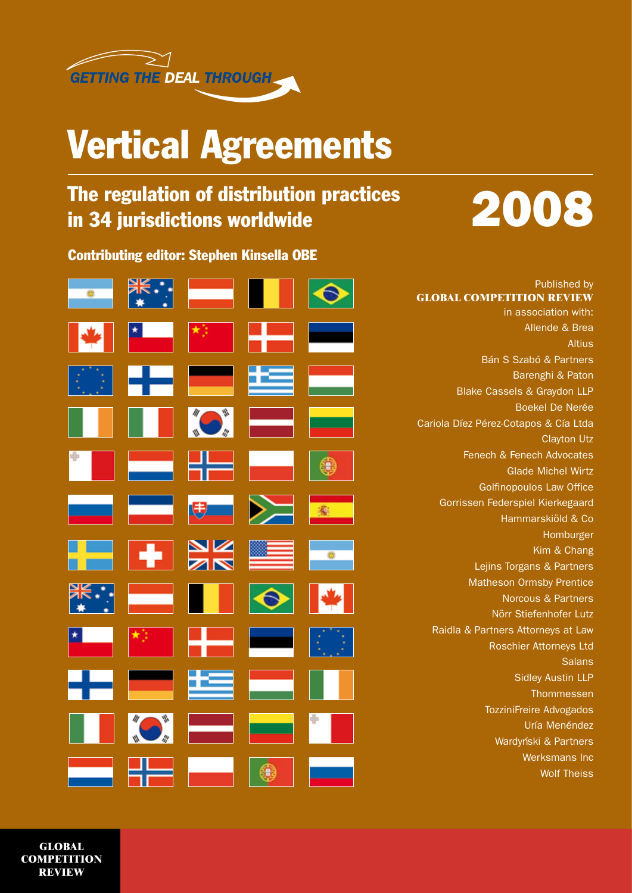

## Vertical Agreements

### The regulation of distribution practices in 34 jurisdictions worldwide



Contributing editor: Stephen Kinsella OBE

| $\bullet$                |                                |                         | . .                                                                                                            |                                    |
|--------------------------|--------------------------------|-------------------------|----------------------------------------------------------------------------------------------------------------|------------------------------------|
|                          |                                | ▝▝▁▁▏▏ <sup>★</sup> ▘▕▏ | 42                                                                                                             |                                    |
| KB.                      |                                | $\pm$ 100 $\pm$         | œ                                                                                                              | i administrati<br>Antonio de Santo |
| . .                      |                                |                         | Here's the second second second second second second second second second second second second second second s | <u>en a</u>                        |
| r e l                    | $\equiv$                       |                         | 21 - Anii 10 - Anii 11 - Anii 12 - Anii 12 - Anii 12 - Anii 12 - Anii 12 - Anii 12 - Anii 12 - Anii 12 - Anii  | $\bullet$                          |
|                          | $\overline{\phantom{0}}$       | $\bigoplus$             | $\blacktriangleright$                                                                                          | <b>K</b>                           |
|                          |                                |                         |                                                                                                                |                                    |
|                          |                                | NK<br>AR                |                                                                                                                | $\frac{1}{\sqrt{2}}$               |
|                          | an Santan.<br>Kabupatèn Sulawa | m                       | $\blacklozenge$                                                                                                |                                    |
| $\overline{\phantom{a}}$ | $\frac{1}{2}$                  | ا اس<br>اس              | E.                                                                                                             | $\{\cdot\}$                        |
|                          | <b>Part</b>                    | íÉ                      | in and<br>1980                                                                                                 |                                    |
|                          |                                | $\bullet$ $\bullet$     | $\equiv$                                                                                                       |                                    |

Published by **GLOBAL COMPETITION REVIEW**  in association with: Allende & Brea **Altius** Bán S Szabó & Partners Barenghi & Paton Blake Cassels & Graydon LLP Boekel De Nerée Cariola Díez Pérez-Cotapos & Cía Ltda Clayton Utz Fenech & Fenech Advocates Glade Michel Wirtz Golfinopoulos Law Office Gorrissen Federspiel Kierkegaard Hammarskiöld & Co Homburger Kim & Chang Lejins Torgans & Partners Matheson Ormsby Prentice Norcous & Partners Nörr Stiefenhofer Lutz Raidla & Partners Attorneys at Law Roschier Attorneys Ltd **Salans** Sidley Austin LLP Thommessen TozziniFreire Advogados Uría Menéndez Wardyński & Partners Werksmans Inc Wolf Theiss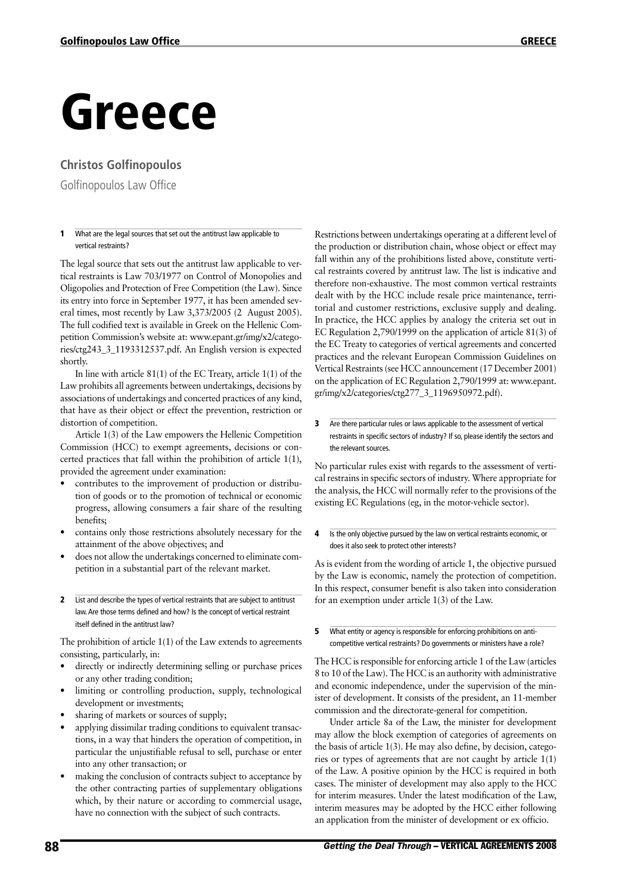# Greece

### **Christos Golfinopoulos**

Golfinopoulos Law Office

#### **1** What are the legal sources that set out the antitrust law applicable to vertical restraints?

The legal source that sets out the antitrust law applicable to vertical restraints is Law 703/1977 on Control of Monopolies and Oligopolies and Protection of Free Competition (the Law). Since its entry into force in September 1977, it has been amended several times, most recently by Law 3,373/2005 (2 August 2005). The full codified text is available in Greek on the Hellenic Competition Commission's website at: www.epant.gr/img/x2/categories/ctg243\_3\_1193312537.pdf. An English version is expected shortly.

In line with article 81(1) of the EC Treaty, article 1(1) of the Law prohibits all agreements between undertakings, decisions by associations of undertakings and concerted practices of any kind, that have as their object or effect the prevention, restriction or distortion of competition.

Article 1(3) of the Law empowers the Hellenic Competition Commission (HCC) to exempt agreements, decisions or concerted practices that fall within the prohibition of article 1(1), provided the agreement under examination:

- contributes to the improvement of production or distribution of goods or to the promotion of technical or economic progress, allowing consumers a fair share of the resulting benefits;
- contains only those restrictions absolutely necessary for the attainment of the above objectives; and
- does not allow the undertakings concerned to eliminate competition in a substantial part of the relevant market.
- 2 List and describe the types of vertical restraints that are subject to antitrust law.Are those terms defined and how? Is the concept of vertical restraint itself defined in the antitrust law?

The prohibition of article 1(1) of the Law extends to agreements consisting, particularly, in:

- directly or indirectly determining selling or purchase prices or any other trading condition;
- limiting or controlling production, supply, technological development or investments;
- sharing of markets or sources of supply;
- applying dissimilar trading conditions to equivalent transactions, in a way that hinders the operation of competition, in particular the unjustifiable refusal to sell, purchase or enter into any other transaction; or
- making the conclusion of contracts subject to acceptance by the other contracting parties of supplementary obligations which, by their nature or according to commercial usage, have no connection with the subject of such contracts.

Restrictions between undertakings operating at a different level of the production or distribution chain, whose object or effect may fall within any of the prohibitions listed above, constitute vertical restraints covered by antitrust law. The list is indicative and therefore non-exhaustive. The most common vertical restraints dealt with by the HCC include resale price maintenance, territorial and customer restrictions, exclusive supply and dealing. In practice, the HCC applies by analogy the criteria set out in EC Regulation 2,790/1999 on the application of article 81(3) of the EC Treaty to categories of vertical agreements and concerted practices and the relevant European Commission Guidelines on Vertical Restraints (see HCC announcement (17 December 2001) on the application of EC Regulation 2,790/1999 at: www.epant. gr/img/x2/categories/ctg277\_3\_1196950972.pdf).

#### **3** Are there particular rules or laws applicable to the assessment of vertical restraints in specific sectors of industry? If so, please identify the sectors and the relevant sources.

No particular rules exist with regards to the assessment of vertical restrains in specific sectors of industry. Where appropriate for the analysis, the HCC will normally refer to the provisions of the existing EC Regulations (eg, in the motor-vehicle sector).

#### 4 Is the only objective pursued by the law on vertical restraints economic, or does it also seek to protect other interests?

As is evident from the wording of article 1, the objective pursued by the Law is economic, namely the protection of competition. In this respect, consumer benefit is also taken into consideration for an exemption under article 1(3) of the Law.

#### **5** What entity or agency is responsible for enforcing prohibitions on anticompetitive vertical restraints? Do governments or ministers have a role?

The HCC is responsible for enforcing article 1 of the Law (articles 8 to 10 of the Law). The HCC is an authority with administrative and economic independence, under the supervision of the minister of development. It consists of the president, an 11-member commission and the directorate-general for competition.

Under article 8a of the Law, the minister for development may allow the block exemption of categories of agreements on the basis of article 1(3). He may also define, by decision, categories or types of agreements that are not caught by article 1(1) of the Law. A positive opinion by the HCC is required in both cases. The minister of development may also apply to the HCC for interim measures. Under the latest modification of the Law, interim measures may be adopted by the HCC either following an application from the minister of development or ex officio.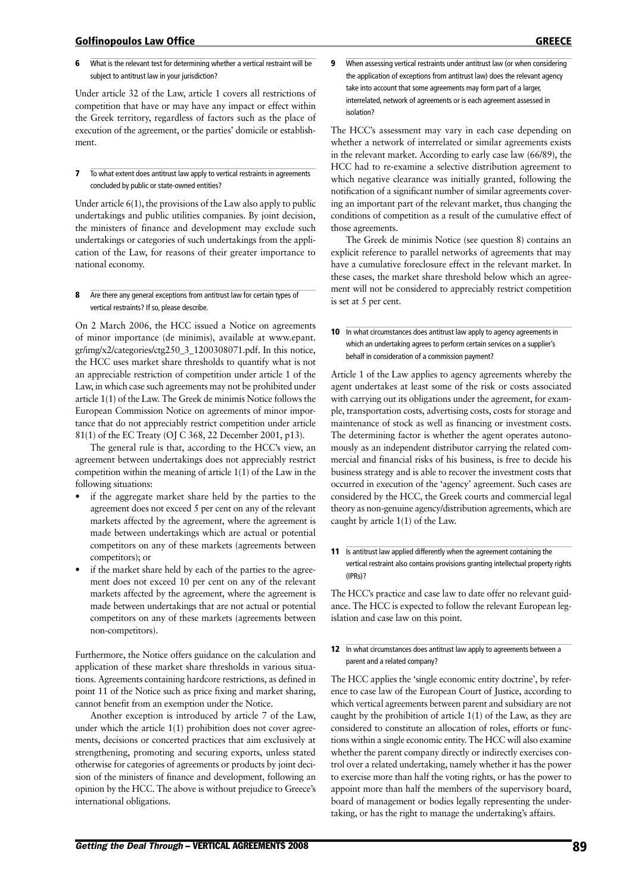#### Golfinopoulos Law Office greece

Under article 32 of the Law, article 1 covers all restrictions of competition that have or may have any impact or effect within the Greek territory, regardless of factors such as the place of execution of the agreement, or the parties' domicile or establishment.

7 To what extent does antitrust law apply to vertical restraints in agreements concluded by public or state-owned entities?

Under article 6(1), the provisions of the Law also apply to public undertakings and public utilities companies. By joint decision, the ministers of finance and development may exclude such undertakings or categories of such undertakings from the application of the Law, for reasons of their greater importance to national economy.

#### 8 Are there any general exceptions from antitrust law for certain types of vertical restraints? If so, please describe.

On 2 March 2006, the HCC issued a Notice on agreements of minor importance (de minimis), available at www.epant. gr/img/x2/categories/ctg250\_3\_1200308071.pdf. In this notice, the HCC uses market share thresholds to quantify what is not an appreciable restriction of competition under article 1 of the Law, in which case such agreements may not be prohibited under article 1(1) of the Law. The Greek de minimis Notice follows the European Commission Notice on agreements of minor importance that do not appreciably restrict competition under article 81(1) of the EC Treaty (OJ C 368, 22 December 2001, p13).

The general rule is that, according to the HCC's view, an agreement between undertakings does not appreciably restrict competition within the meaning of article 1(1) of the Law in the following situations:

- if the aggregate market share held by the parties to the agreement does not exceed 5 per cent on any of the relevant markets affected by the agreement, where the agreement is made between undertakings which are actual or potential competitors on any of these markets (agreements between competitors); or
- if the market share held by each of the parties to the agreement does not exceed 10 per cent on any of the relevant markets affected by the agreement, where the agreement is made between undertakings that are not actual or potential competitors on any of these markets (agreements between non-competitors).

Furthermore, the Notice offers guidance on the calculation and application of these market share thresholds in various situations. Agreements containing hardcore restrictions, as defined in point 11 of the Notice such as price fixing and market sharing, cannot benefit from an exemption under the Notice.

Another exception is introduced by article 7 of the Law, under which the article 1(1) prohibition does not cover agreements, decisions or concerted practices that aim exclusively at strengthening, promoting and securing exports, unless stated otherwise for categories of agreements or products by joint decision of the ministers of finance and development, following an opinion by the HCC. The above is without prejudice to Greece's international obligations.

9 When assessing vertical restraints under antitrust law (or when considering the application of exceptions from antitrust law) does the relevant agency take into account that some agreements may form part of a larger, interrelated, network of agreements or is each agreement assessed in isolation?

The HCC's assessment may vary in each case depending on whether a network of interrelated or similar agreements exists in the relevant market. According to early case law (66/89), the HCC had to re-examine a selective distribution agreement to which negative clearance was initially granted, following the notification of a significant number of similar agreements covering an important part of the relevant market, thus changing the conditions of competition as a result of the cumulative effect of those agreements.

The Greek de minimis Notice (see question 8) contains an explicit reference to parallel networks of agreements that may have a cumulative foreclosure effect in the relevant market. In these cases, the market share threshold below which an agreement will not be considered to appreciably restrict competition is set at 5 per cent.

#### 10 In what circumstances does antitrust law apply to agency agreements in which an undertaking agrees to perform certain services on a supplier's behalf in consideration of a commission payment?

Article 1 of the Law applies to agency agreements whereby the agent undertakes at least some of the risk or costs associated with carrying out its obligations under the agreement, for example, transportation costs, advertising costs, costs for storage and maintenance of stock as well as financing or investment costs. The determining factor is whether the agent operates autonomously as an independent distributor carrying the related commercial and financial risks of his business, is free to decide his business strategy and is able to recover the investment costs that occurred in execution of the 'agency' agreement. Such cases are considered by the HCC, the Greek courts and commercial legal theory as non-genuine agency/distribution agreements, which are caught by article 1(1) of the Law.

11 Is antitrust law applied differently when the agreement containing the vertical restraint also contains provisions granting intellectual property rights (IPRs)?

The HCC's practice and case law to date offer no relevant guidance. The HCC is expected to follow the relevant European legislation and case law on this point.

#### 12 In what circumstances does antitrust law apply to agreements between a parent and a related company?

The HCC applies the 'single economic entity doctrine', by reference to case law of the European Court of Justice, according to which vertical agreements between parent and subsidiary are not caught by the prohibition of article 1(1) of the Law, as they are considered to constitute an allocation of roles, efforts or functions within a single economic entity. The HCC will also examine whether the parent company directly or indirectly exercises control over a related undertaking, namely whether it has the power to exercise more than half the voting rights, or has the power to appoint more than half the members of the supervisory board, board of management or bodies legally representing the undertaking, or has the right to manage the undertaking's affairs.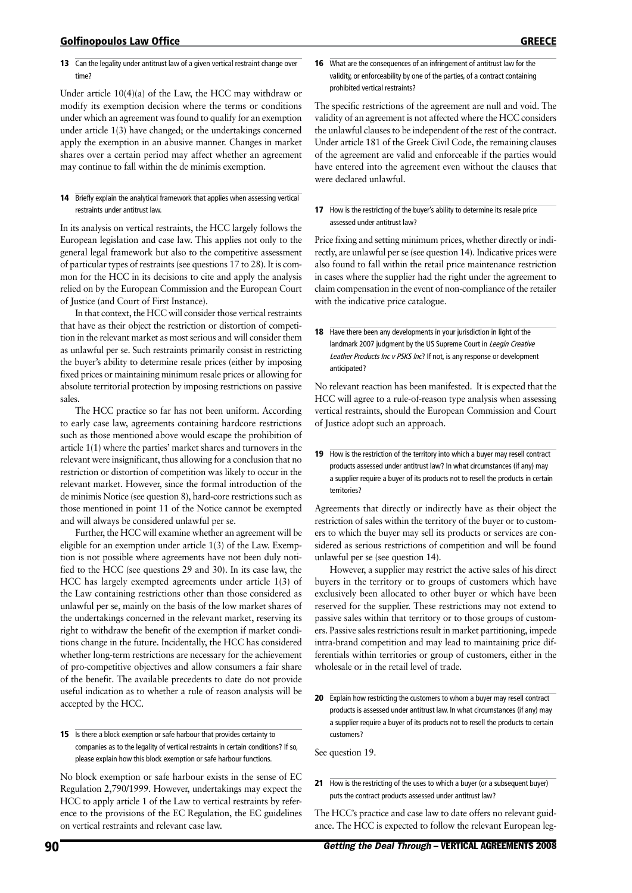#### Golfinopoulos Law Office greece

#### 13 Can the legality under antitrust law of a given vertical restraint change over time?

Under article 10(4)(a) of the Law, the HCC may withdraw or modify its exemption decision where the terms or conditions under which an agreement was found to qualify for an exemption under article 1(3) have changed; or the undertakings concerned apply the exemption in an abusive manner. Changes in market shares over a certain period may affect whether an agreement may continue to fall within the de minimis exemption.

#### 14 Briefly explain the analytical framework that applies when assessing vertical restraints under antitrust law.

In its analysis on vertical restraints, the HCC largely follows the European legislation and case law. This applies not only to the general legal framework but also to the competitive assessment of particular types of restraints (see questions 17 to 28). It is common for the HCC in its decisions to cite and apply the analysis relied on by the European Commission and the European Court of Justice (and Court of First Instance).

In that context, the HCC will consider those vertical restraints that have as their object the restriction or distortion of competition in the relevant market as most serious and will consider them as unlawful per se. Such restraints primarily consist in restricting the buyer's ability to determine resale prices (either by imposing fixed prices or maintaining minimum resale prices or allowing for absolute territorial protection by imposing restrictions on passive sales.

The HCC practice so far has not been uniform. According to early case law, agreements containing hardcore restrictions such as those mentioned above would escape the prohibition of article 1(1) where the parties' market shares and turnovers in the relevant were insignificant, thus allowing for a conclusion that no restriction or distortion of competition was likely to occur in the relevant market. However, since the formal introduction of the de minimis Notice (see question 8), hard-core restrictions such as those mentioned in point 11 of the Notice cannot be exempted and will always be considered unlawful per se.

Further, the HCC will examine whether an agreement will be eligible for an exemption under article 1(3) of the Law. Exemption is not possible where agreements have not been duly notified to the HCC (see questions 29 and 30). In its case law, the HCC has largely exempted agreements under article 1(3) of the Law containing restrictions other than those considered as unlawful per se, mainly on the basis of the low market shares of the undertakings concerned in the relevant market, reserving its right to withdraw the benefit of the exemption if market conditions change in the future. Incidentally, the HCC has considered whether long-term restrictions are necessary for the achievement of pro-competitive objectives and allow consumers a fair share of the benefit. The available precedents to date do not provide useful indication as to whether a rule of reason analysis will be accepted by the HCC.

15 Is there a block exemption or safe harbour that provides certainty to companies as to the legality of vertical restraints in certain conditions? If so, please explain how this block exemption or safe harbour functions.

No block exemption or safe harbour exists in the sense of EC Regulation 2,790/1999. However, undertakings may expect the HCC to apply article 1 of the Law to vertical restraints by reference to the provisions of the EC Regulation, the EC guidelines on vertical restraints and relevant case law.

#### 16 What are the consequences of an infringement of antitrust law for the validity, or enforceability by one of the parties, of a contract containing prohibited vertical restraints?

The specific restrictions of the agreement are null and void. The validity of an agreement is not affected where the HCC considers the unlawful clauses to be independent of the rest of the contract. Under article 181 of the Greek Civil Code, the remaining clauses of the agreement are valid and enforceable if the parties would have entered into the agreement even without the clauses that were declared unlawful.

17 How is the restricting of the buyer's ability to determine its resale price assessed under antitrust law?

Price fixing and setting minimum prices, whether directly or indirectly, are unlawful per se (see question 14). Indicative prices were also found to fall within the retail price maintenance restriction in cases where the supplier had the right under the agreement to claim compensation in the event of non-compliance of the retailer with the indicative price catalogue.

18 Have there been any developments in your jurisdiction in light of the landmark 2007 judgment by the US Supreme Court in Leegin Creative Leather Products Inc v PSKS Inc? If not, is any response or development anticipated?

No relevant reaction has been manifested. It is expected that the HCC will agree to a rule-of-reason type analysis when assessing vertical restraints, should the European Commission and Court of Justice adopt such an approach.

19 How is the restriction of the territory into which a buyer may resell contract products assessed under antitrust law? In what circumstances (if any) may a supplier require a buyer of its products not to resell the products in certain territories?

Agreements that directly or indirectly have as their object the restriction of sales within the territory of the buyer or to customers to which the buyer may sell its products or services are considered as serious restrictions of competition and will be found unlawful per se (see question 14).

However, a supplier may restrict the active sales of his direct buyers in the territory or to groups of customers which have exclusively been allocated to other buyer or which have been reserved for the supplier. These restrictions may not extend to passive sales within that territory or to those groups of customers. Passive sales restrictions result in market partitioning, impede intra-brand competition and may lead to maintaining price differentials within territories or group of customers, either in the wholesale or in the retail level of trade.

20 Explain how restricting the customers to whom a buyer may resell contract products is assessed under antitrust law. In what circumstances (if any) may a supplier require a buyer of its products not to resell the products to certain customers?

See question 19.

21 How is the restricting of the uses to which a buyer (or a subsequent buyer) puts the contract products assessed under antitrust law?

The HCC's practice and case law to date offers no relevant guidance. The HCC is expected to follow the relevant European leg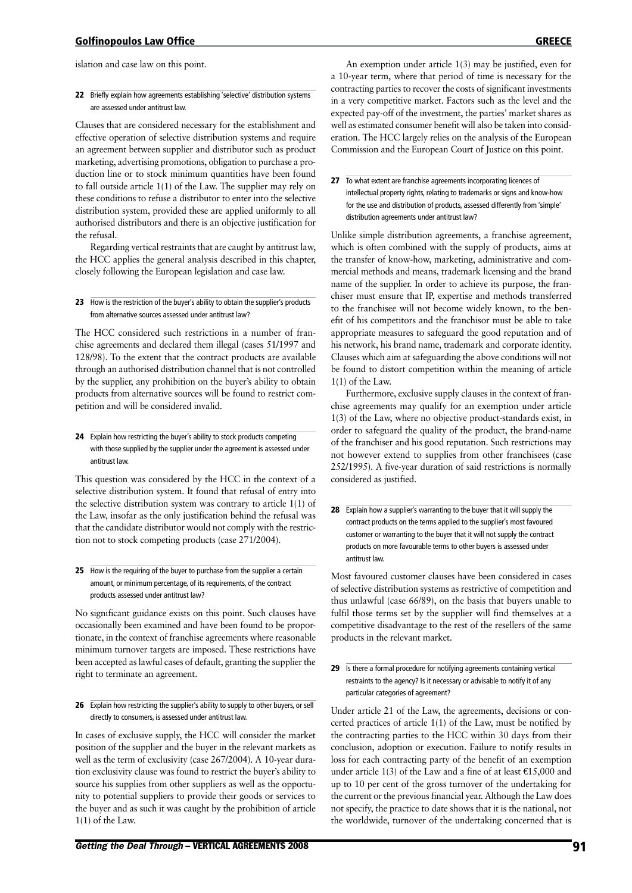islation and case law on this point.

#### 22 Briefly explain how agreements establishing 'selective' distribution systems are assessed under antitrust law.

Clauses that are considered necessary for the establishment and effective operation of selective distribution systems and require an agreement between supplier and distributor such as product marketing, advertising promotions, obligation to purchase a production line or to stock minimum quantities have been found to fall outside article 1(1) of the Law. The supplier may rely on these conditions to refuse a distributor to enter into the selective distribution system, provided these are applied uniformly to all authorised distributors and there is an objective justification for the refusal.

Regarding vertical restraints that are caught by antitrust law, the HCC applies the general analysis described in this chapter, closely following the European legislation and case law.

23 How is the restriction of the buyer's ability to obtain the supplier's products from alternative sources assessed under antitrust law?

The HCC considered such restrictions in a number of franchise agreements and declared them illegal (cases 51/1997 and 128/98). To the extent that the contract products are available through an authorised distribution channel that is not controlled by the supplier, any prohibition on the buyer's ability to obtain products from alternative sources will be found to restrict competition and will be considered invalid.

24 Explain how restricting the buyer's ability to stock products competing with those supplied by the supplier under the agreement is assessed under antitrust law.

This question was considered by the HCC in the context of a selective distribution system. It found that refusal of entry into the selective distribution system was contrary to article 1(1) of the Law, insofar as the only justification behind the refusal was that the candidate distributor would not comply with the restriction not to stock competing products (case 271/2004).

25 How is the requiring of the buyer to purchase from the supplier a certain amount, or minimum percentage, of its requirements, of the contract products assessed under antitrust law?

No significant guidance exists on this point. Such clauses have occasionally been examined and have been found to be proportionate, in the context of franchise agreements where reasonable minimum turnover targets are imposed. These restrictions have been accepted as lawful cases of default, granting the supplier the right to terminate an agreement.

26 Explain how restricting the supplier's ability to supply to other buyers, or sell directly to consumers, is assessed under antitrust law.

In cases of exclusive supply, the HCC will consider the market position of the supplier and the buyer in the relevant markets as well as the term of exclusivity (case 267/2004). A 10-year duration exclusivity clause was found to restrict the buyer's ability to source his supplies from other suppliers as well as the opportunity to potential suppliers to provide their goods or services to the buyer and as such it was caught by the prohibition of article 1(1) of the Law.

An exemption under article 1(3) may be justified, even for a 10-year term, where that period of time is necessary for the contracting parties to recover the costs of significant investments in a very competitive market. Factors such as the level and the expected pay-off of the investment, the parties' market shares as well as estimated consumer benefit will also be taken into consideration. The HCC largely relies on the analysis of the European Commission and the European Court of Justice on this point.

27 To what extent are franchise agreements incorporating licences of intellectual property rights, relating to trademarks or signs and know-how for the use and distribution of products, assessed differently from 'simple' distribution agreements under antitrust law?

Unlike simple distribution agreements, a franchise agreement, which is often combined with the supply of products, aims at the transfer of know-how, marketing, administrative and commercial methods and means, trademark licensing and the brand name of the supplier. In order to achieve its purpose, the franchiser must ensure that IP, expertise and methods transferred to the franchisee will not become widely known, to the benefit of his competitors and the franchisor must be able to take appropriate measures to safeguard the good reputation and of his network, his brand name, trademark and corporate identity. Clauses which aim at safeguarding the above conditions will not be found to distort competition within the meaning of article 1(1) of the Law.

Furthermore, exclusive supply clauses in the context of franchise agreements may qualify for an exemption under article 1(3) of the Law, where no objective product-standards exist, in order to safeguard the quality of the product, the brand-name of the franchiser and his good reputation. Such restrictions may not however extend to supplies from other franchisees (case 252/1995). A five-year duration of said restrictions is normally considered as justified.

Most favoured customer clauses have been considered in cases of selective distribution systems as restrictive of competition and thus unlawful (case 66/89), on the basis that buyers unable to fulfil those terms set by the supplier will find themselves at a competitive disadvantage to the rest of the resellers of the same products in the relevant market.

29 Is there a formal procedure for notifying agreements containing vertical restraints to the agency? Is it necessary or advisable to notify it of any particular categories of agreement?

Under article 21 of the Law, the agreements, decisions or concerted practices of article 1(1) of the Law, must be notified by the contracting parties to the HCC within 30 days from their conclusion, adoption or execution. Failure to notify results in loss for each contracting party of the benefit of an exemption under article 1(3) of the Law and a fine of at least  $£15,000$  and up to 10 per cent of the gross turnover of the undertaking for the current or the previous financial year. Although the Law does not specify, the practice to date shows that it is the national, not the worldwide, turnover of the undertaking concerned that is

<sup>28</sup> Explain how a supplier's warranting to the buyer that it will supply the contract products on the terms applied to the supplier's most favoured customer or warranting to the buyer that it will not supply the contract products on more favourable terms to other buyers is assessed under antitrust law.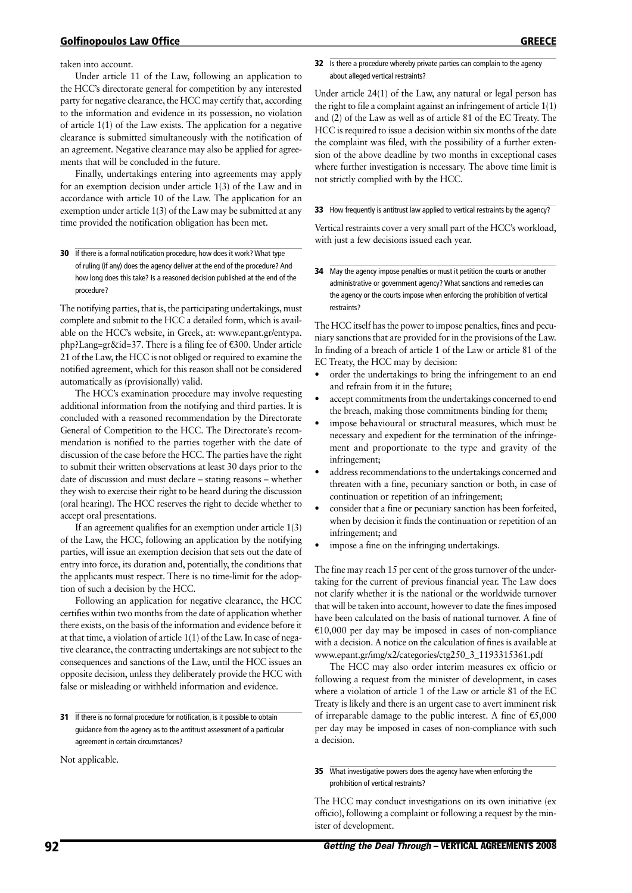taken into account.

Under article 11 of the Law, following an application to the HCC's directorate general for competition by any interested party for negative clearance, the HCC may certify that, according to the information and evidence in its possession, no violation of article 1(1) of the Law exists. The application for a negative clearance is submitted simultaneously with the notification of an agreement. Negative clearance may also be applied for agreements that will be concluded in the future.

Finally, undertakings entering into agreements may apply for an exemption decision under article 1(3) of the Law and in accordance with article 10 of the Law. The application for an exemption under article 1(3) of the Law may be submitted at any time provided the notification obligation has been met.

30 If there is a formal notification procedure, how does it work? What type of ruling (if any) does the agency deliver at the end of the procedure? And how long does this take? Is a reasoned decision published at the end of the procedure?

The notifying parties, that is, the participating undertakings, must complete and submit to the HCC a detailed form, which is available on the HCC's website, in Greek, at: www.epant.gr/entypa. php?Lang=gr&id=37. There is a filing fee of  $\epsilon$ 300. Under article 21 of the Law, the HCC is not obliged or required to examine the notified agreement, which for this reason shall not be considered automatically as (provisionally) valid.

The HCC's examination procedure may involve requesting additional information from the notifying and third parties. It is concluded with a reasoned recommendation by the Directorate General of Competition to the HCC. The Directorate's recommendation is notified to the parties together with the date of discussion of the case before the HCC. The parties have the right to submit their written observations at least 30 days prior to the date of discussion and must declare – stating reasons – whether they wish to exercise their right to be heard during the discussion (oral hearing). The HCC reserves the right to decide whether to accept oral presentations.

If an agreement qualifies for an exemption under article 1(3) of the Law, the HCC, following an application by the notifying parties, will issue an exemption decision that sets out the date of entry into force, its duration and, potentially, the conditions that the applicants must respect. There is no time-limit for the adoption of such a decision by the HCC.

Following an application for negative clearance, the HCC certifies within two months from the date of application whether there exists, on the basis of the information and evidence before it at that time, a violation of article 1(1) of the Law. In case of negative clearance, the contracting undertakings are not subject to the consequences and sanctions of the Law, until the HCC issues an opposite decision, unless they deliberately provide the HCC with false or misleading or withheld information and evidence.

31 If there is no formal procedure for notification, is it possible to obtain guidance from the agency as to the antitrust assessment of a particular agreement in certain circumstances?

Not applicable.

#### 32 Is there a procedure whereby private parties can complain to the agency about alleged vertical restraints?

Under article 24(1) of the Law, any natural or legal person has the right to file a complaint against an infringement of article 1(1) and (2) of the Law as well as of article 81 of the EC Treaty. The HCC is required to issue a decision within six months of the date the complaint was filed, with the possibility of a further extension of the above deadline by two months in exceptional cases where further investigation is necessary. The above time limit is not strictly complied with by the HCC.

#### 33 How frequently is antitrust law applied to vertical restraints by the agency?

Vertical restraints cover a very small part of the HCC's workload, with just a few decisions issued each year.

**34** May the agency impose penalties or must it petition the courts or another administrative or government agency? What sanctions and remedies can the agency or the courts impose when enforcing the prohibition of vertical restraints?

The HCC itself has the power to impose penalties, fines and pecuniary sanctions that are provided for in the provisions of the Law. In finding of a breach of article 1 of the Law or article 81 of the EC Treaty, the HCC may by decision:

- order the undertakings to bring the infringement to an end and refrain from it in the future;
- accept commitments from the undertakings concerned to end the breach, making those commitments binding for them;
- impose behavioural or structural measures, which must be necessary and expedient for the termination of the infringement and proportionate to the type and gravity of the infringement;
- address recommendations to the undertakings concerned and threaten with a fine, pecuniary sanction or both, in case of continuation or repetition of an infringement;
- consider that a fine or pecuniary sanction has been forfeited, when by decision it finds the continuation or repetition of an infringement; and
- impose a fine on the infringing undertakings.

The fine may reach 15 per cent of the gross turnover of the undertaking for the current of previous financial year. The Law does not clarify whether it is the national or the worldwide turnover that will be taken into account, however to date the fines imposed have been calculated on the basis of national turnover. A fine of  $E10,000$  per day may be imposed in cases of non-compliance with a decision. A notice on the calculation of fines is available at www.epant.gr/img/x2/categories/ctg250\_3\_1193315361.pdf

The HCC may also order interim measures ex officio or following a request from the minister of development, in cases where a violation of article 1 of the Law or article 81 of the EC Treaty is likely and there is an urgent case to avert imminent risk of irreparable damage to the public interest. A fine of  $\epsilon$ 5,000 per day may be imposed in cases of non-compliance with such a decision.

#### 35 What investigative powers does the agency have when enforcing the prohibition of vertical restraints?

The HCC may conduct investigations on its own initiative (ex officio), following a complaint or following a request by the minister of development.